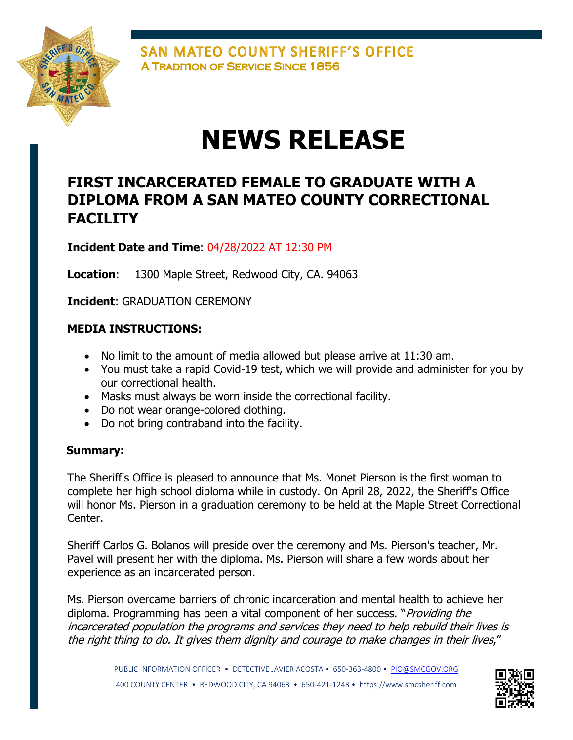

SAN MATEO COUNTY SHERIFF'S OFFICE **A TRADITION OF SERVICE SINCE 1856** 

# **NEWS RELEASE**

## **FIRST INCARCERATED FEMALE TO GRADUATE WITH A DIPLOMA FROM A SAN MATEO COUNTY CORRECTIONAL FACILITY**

**Incident Date and Time**: 04/28/2022 AT 12:30 PM

**Location**: 1300 Maple Street, Redwood City, CA. 94063

**Incident**: GRADUATION CEREMONY

### **MEDIA INSTRUCTIONS:**

- No limit to the amount of media allowed but please arrive at 11:30 am.
- You must take a rapid Covid-19 test, which we will provide and administer for you by our correctional health.
- Masks must always be worn inside the correctional facility.
- Do not wear orange-colored clothing.
- Do not bring contraband into the facility.

#### **Summary:**

The Sheriff's Office is pleased to announce that Ms. Monet Pierson is the first woman to complete her high school diploma while in custody. On April 28, 2022, the Sheriff's Office will honor Ms. Pierson in a graduation ceremony to be held at the Maple Street Correctional Center.

Sheriff Carlos G. Bolanos will preside over the ceremony and Ms. Pierson's teacher, Mr. Pavel will present her with the diploma. Ms. Pierson will share a few words about her experience as an incarcerated person.

Ms. Pierson overcame barriers of chronic incarceration and mental health to achieve her diploma. Programming has been a vital component of her success. "*Providing the* incarcerated population the programs and services they need to help rebuild their lives is the right thing to do. It gives them dignity and courage to make changes in their lives,"